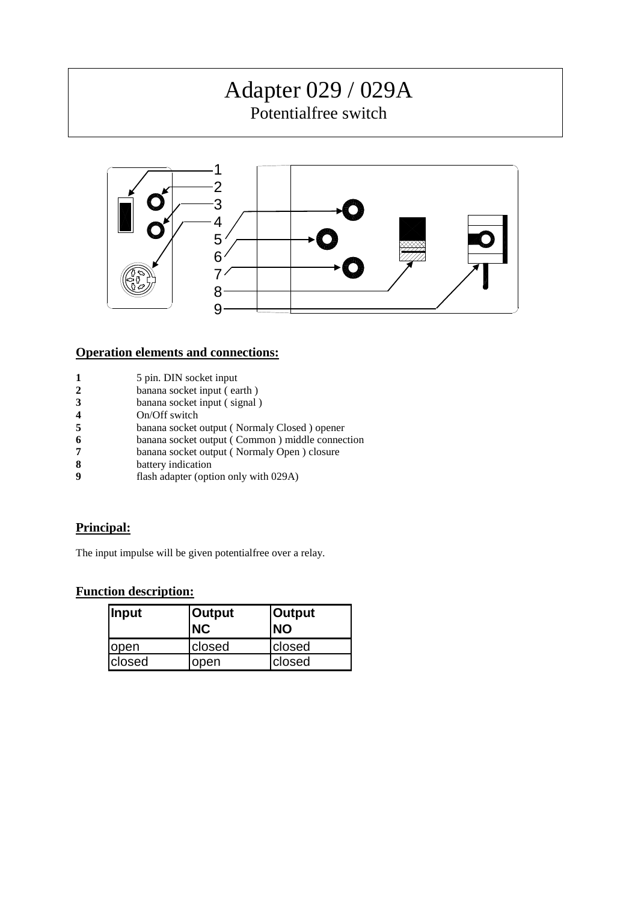# Adapter 029 / 029A

Potentialfree switch



### **Operation elements and connections:**

- **1** 5 pin. DIN socket input<br>**2** banana socket input (ea
- 
- **2** banana socket input (earth)<br>**3** banana socket input (signal) banana socket input (signal)
- **4** On/Off switch
- **5** banana socket output ( Normaly Closed ) opener<br> **6** banana socket output ( Common ) middle connec
- **6** banana socket output ( Common ) middle connection<br> **7** banana socket output ( Normaly Open ) closure
- **7** banana socket output ( Normaly Open ) closure<br>**8** battery indication
- **8** battery indication<br>**9** flash adapter (opti
- flash adapter (option only with 029A)

## **Principal:**

The input impulse will be given potentialfree over a relay.

#### **Function description:**

| <b>Input</b>  | <b>Output</b><br><b>NC</b> | <b>Output</b><br><b>NO</b> |
|---------------|----------------------------|----------------------------|
| <b>l</b> open | closed                     | <b>closed</b>              |
| closed        | open                       | closed                     |